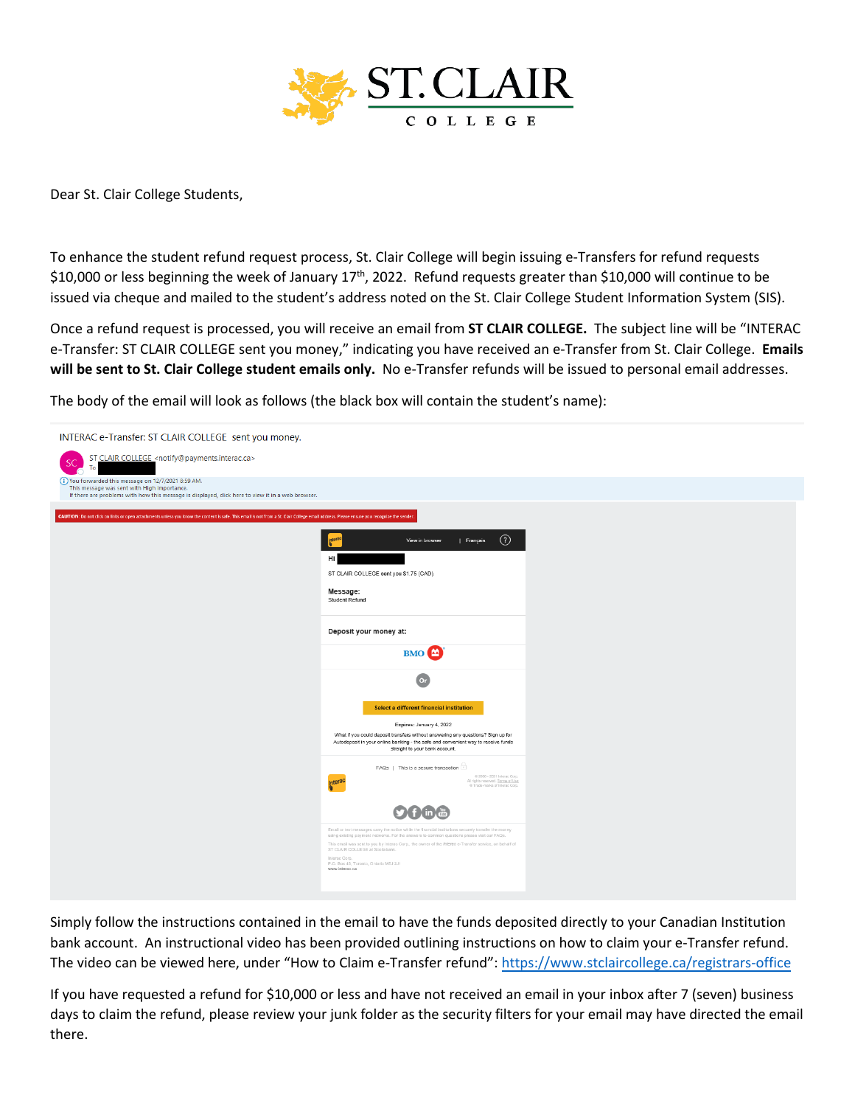

Dear St. Clair College Students,

To enhance the student refund request process, St. Clair College will begin issuing e-Transfers for refund requests \$10,000 or less beginning the week of January 17<sup>th</sup>, 2022. Refund requests greater than \$10,000 will continue to be issued via cheque and mailed to the student's address noted on the St. Clair College Student Information System (SIS).

Once a refund request is processed, you will receive an email from **ST CLAIR COLLEGE.** The subject line will be "INTERAC e-Transfer: ST CLAIR COLLEGE sent you money," indicating you have received an e-Transfer from St. Clair College. **Emails will be sent to St. Clair College student emails only.** No e-Transfer refunds will be issued to personal email addresses.

The body of the email will look as follows (the black box will contain the student's name):



Simply follow the instructions contained in the email to have the funds deposited directly to your Canadian Institution bank account. An instructional video has been provided outlining instructions on how to claim your e-Transfer refund. The video can be viewed here, under "How to Claim e-Transfer refund": <https://www.stclaircollege.ca/registrars-office>

If you have requested a refund for \$10,000 or less and have not received an email in your inbox after 7 (seven) business days to claim the refund, please review your junk folder as the security filters for your email may have directed the email there.